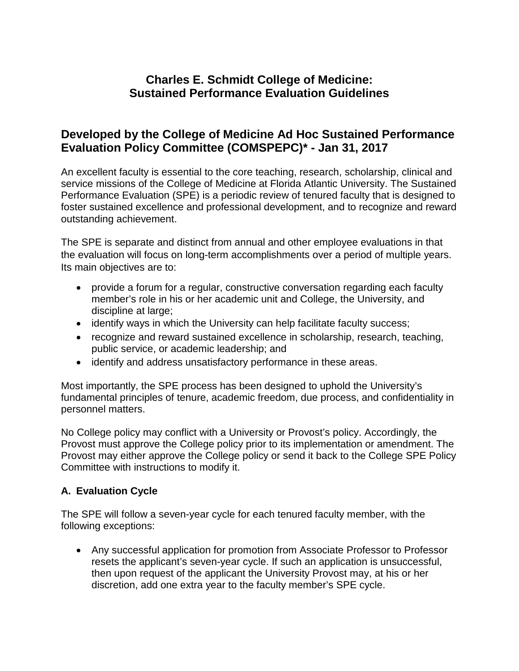# **Charles E. Schmidt College of Medicine: Sustained Performance Evaluation Guidelines**

## **Developed by the College of Medicine Ad Hoc Sustained Performance Evaluation Policy Committee (COMSPEPC)\* - Jan 31, 2017**

An excellent faculty is essential to the core teaching, research, scholarship, clinical and service missions of the College of Medicine at Florida Atlantic University. The Sustained Performance Evaluation (SPE) is a periodic review of tenured faculty that is designed to foster sustained excellence and professional development, and to recognize and reward outstanding achievement.

The SPE is separate and distinct from annual and other employee evaluations in that the evaluation will focus on long-term accomplishments over a period of multiple years. Its main objectives are to:

- provide a forum for a regular, constructive conversation regarding each faculty member's role in his or her academic unit and College, the University, and discipline at large;
- identify ways in which the University can help facilitate faculty success;
- recognize and reward sustained excellence in scholarship, research, teaching, public service, or academic leadership; and
- identify and address unsatisfactory performance in these areas.

Most importantly, the SPE process has been designed to uphold the University's fundamental principles of tenure, academic freedom, due process, and confidentiality in personnel matters.

No College policy may conflict with a University or Provost's policy. Accordingly, the Provost must approve the College policy prior to its implementation or amendment. The Provost may either approve the College policy or send it back to the College SPE Policy Committee with instructions to modify it.

#### **A. Evaluation Cycle**

The SPE will follow a seven-year cycle for each tenured faculty member, with the following exceptions:

• Any successful application for promotion from Associate Professor to Professor resets the applicant's seven-year cycle. If such an application is unsuccessful, then upon request of the applicant the University Provost may, at his or her discretion, add one extra year to the faculty member's SPE cycle.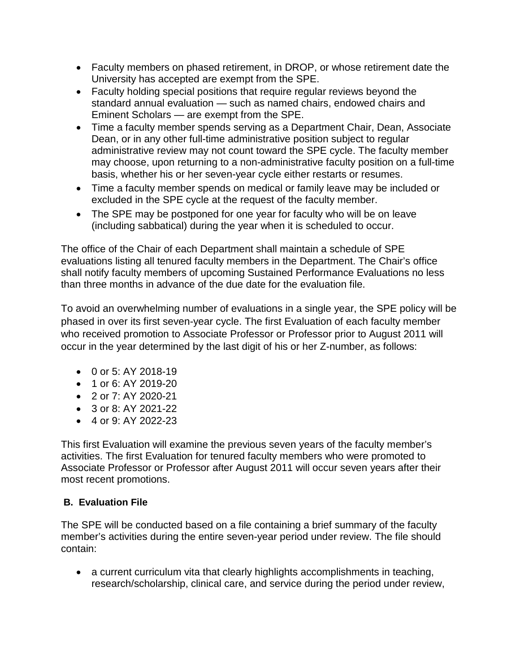- Faculty members on phased retirement, in DROP, or whose retirement date the University has accepted are exempt from the SPE.
- Faculty holding special positions that require regular reviews beyond the standard annual evaluation — such as named chairs, endowed chairs and Eminent Scholars — are exempt from the SPE.
- Time a faculty member spends serving as a Department Chair, Dean, Associate Dean, or in any other full-time administrative position subject to regular administrative review may not count toward the SPE cycle. The faculty member may choose, upon returning to a non-administrative faculty position on a full-time basis, whether his or her seven-year cycle either restarts or resumes.
- Time a faculty member spends on medical or family leave may be included or excluded in the SPE cycle at the request of the faculty member.
- The SPE may be postponed for one year for faculty who will be on leave (including sabbatical) during the year when it is scheduled to occur.

The office of the Chair of each Department shall maintain a schedule of SPE evaluations listing all tenured faculty members in the Department. The Chair's office shall notify faculty members of upcoming Sustained Performance Evaluations no less than three months in advance of the due date for the evaluation file.

To avoid an overwhelming number of evaluations in a single year, the SPE policy will be phased in over its first seven-year cycle. The first Evaluation of each faculty member who received promotion to Associate Professor or Professor prior to August 2011 will occur in the year determined by the last digit of his or her Z-number, as follows:

- 0 or 5: AY 2018-19
- 1 or 6: AY 2019-20
- 2 or 7: AY 2020-21
- 3 or 8: AY 2021-22
- $\bullet$  4 or 9: AY 2022-23

This first Evaluation will examine the previous seven years of the faculty member's activities. The first Evaluation for tenured faculty members who were promoted to Associate Professor or Professor after August 2011 will occur seven years after their most recent promotions.

#### **B. Evaluation File**

The SPE will be conducted based on a file containing a brief summary of the faculty member's activities during the entire seven-year period under review. The file should contain:

• a current curriculum vita that clearly highlights accomplishments in teaching, research/scholarship, clinical care, and service during the period under review,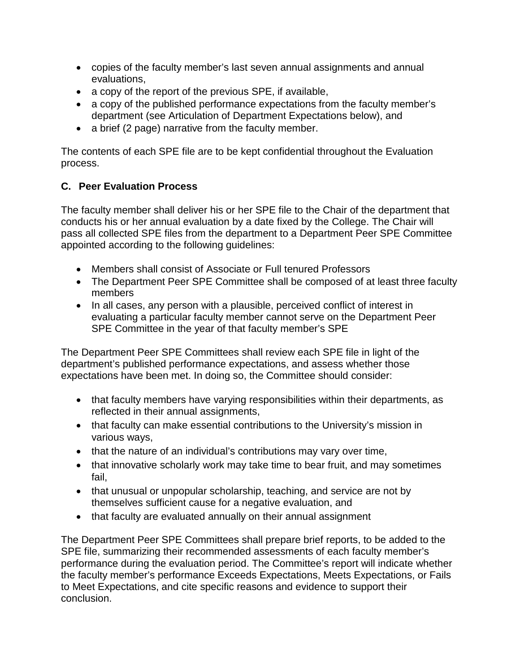- copies of the faculty member's last seven annual assignments and annual evaluations,
- a copy of the report of the previous SPE, if available,
- a copy of the published performance expectations from the faculty member's department (see Articulation of Department Expectations below), and
- a brief (2 page) narrative from the faculty member.

The contents of each SPE file are to be kept confidential throughout the Evaluation process.

## **C. Peer Evaluation Process**

The faculty member shall deliver his or her SPE file to the Chair of the department that conducts his or her annual evaluation by a date fixed by the College. The Chair will pass all collected SPE files from the department to a Department Peer SPE Committee appointed according to the following guidelines:

- Members shall consist of Associate or Full tenured Professors
- The Department Peer SPE Committee shall be composed of at least three faculty members
- In all cases, any person with a plausible, perceived conflict of interest in evaluating a particular faculty member cannot serve on the Department Peer SPE Committee in the year of that faculty member's SPE

The Department Peer SPE Committees shall review each SPE file in light of the department's published performance expectations, and assess whether those expectations have been met. In doing so, the Committee should consider:

- that faculty members have varying responsibilities within their departments, as reflected in their annual assignments,
- that faculty can make essential contributions to the University's mission in various ways,
- that the nature of an individual's contributions may vary over time,
- that innovative scholarly work may take time to bear fruit, and may sometimes fail,
- that unusual or unpopular scholarship, teaching, and service are not by themselves sufficient cause for a negative evaluation, and
- that faculty are evaluated annually on their annual assignment

The Department Peer SPE Committees shall prepare brief reports, to be added to the SPE file, summarizing their recommended assessments of each faculty member's performance during the evaluation period. The Committee's report will indicate whether the faculty member's performance Exceeds Expectations, Meets Expectations, or Fails to Meet Expectations, and cite specific reasons and evidence to support their conclusion.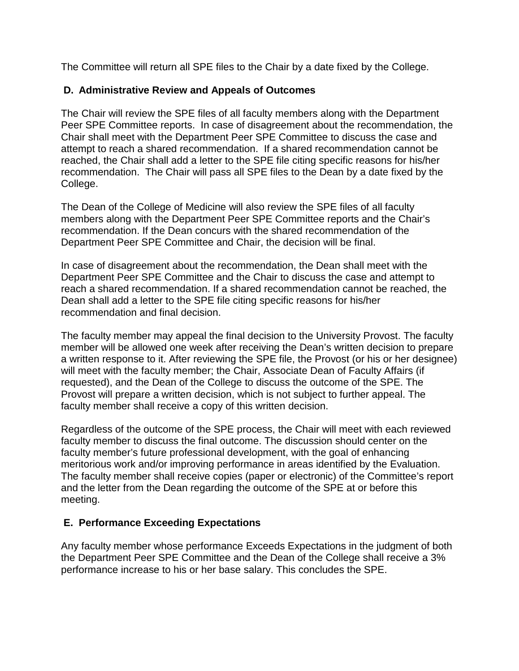The Committee will return all SPE files to the Chair by a date fixed by the College.

#### **D. Administrative Review and Appeals of Outcomes**

The Chair will review the SPE files of all faculty members along with the Department Peer SPE Committee reports. In case of disagreement about the recommendation, the Chair shall meet with the Department Peer SPE Committee to discuss the case and attempt to reach a shared recommendation. If a shared recommendation cannot be reached, the Chair shall add a letter to the SPE file citing specific reasons for his/her recommendation. The Chair will pass all SPE files to the Dean by a date fixed by the College.

The Dean of the College of Medicine will also review the SPE files of all faculty members along with the Department Peer SPE Committee reports and the Chair's recommendation. If the Dean concurs with the shared recommendation of the Department Peer SPE Committee and Chair, the decision will be final.

In case of disagreement about the recommendation, the Dean shall meet with the Department Peer SPE Committee and the Chair to discuss the case and attempt to reach a shared recommendation. If a shared recommendation cannot be reached, the Dean shall add a letter to the SPE file citing specific reasons for his/her recommendation and final decision.

The faculty member may appeal the final decision to the University Provost. The faculty member will be allowed one week after receiving the Dean's written decision to prepare a written response to it. After reviewing the SPE file, the Provost (or his or her designee) will meet with the faculty member; the Chair, Associate Dean of Faculty Affairs (if requested), and the Dean of the College to discuss the outcome of the SPE. The Provost will prepare a written decision, which is not subject to further appeal. The faculty member shall receive a copy of this written decision.

Regardless of the outcome of the SPE process, the Chair will meet with each reviewed faculty member to discuss the final outcome. The discussion should center on the faculty member's future professional development, with the goal of enhancing meritorious work and/or improving performance in areas identified by the Evaluation. The faculty member shall receive copies (paper or electronic) of the Committee's report and the letter from the Dean regarding the outcome of the SPE at or before this meeting.

#### **E. Performance Exceeding Expectations**

Any faculty member whose performance Exceeds Expectations in the judgment of both the Department Peer SPE Committee and the Dean of the College shall receive a 3% performance increase to his or her base salary. This concludes the SPE.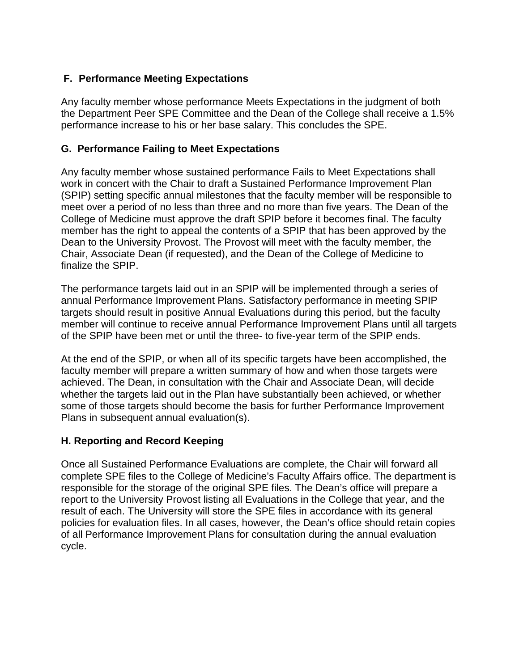## **F. Performance Meeting Expectations**

Any faculty member whose performance Meets Expectations in the judgment of both the Department Peer SPE Committee and the Dean of the College shall receive a 1.5% performance increase to his or her base salary. This concludes the SPE.

#### **G. Performance Failing to Meet Expectations**

Any faculty member whose sustained performance Fails to Meet Expectations shall work in concert with the Chair to draft a Sustained Performance Improvement Plan (SPIP) setting specific annual milestones that the faculty member will be responsible to meet over a period of no less than three and no more than five years. The Dean of the College of Medicine must approve the draft SPIP before it becomes final. The faculty member has the right to appeal the contents of a SPIP that has been approved by the Dean to the University Provost. The Provost will meet with the faculty member, the Chair, Associate Dean (if requested), and the Dean of the College of Medicine to finalize the SPIP.

The performance targets laid out in an SPIP will be implemented through a series of annual Performance Improvement Plans. Satisfactory performance in meeting SPIP targets should result in positive Annual Evaluations during this period, but the faculty member will continue to receive annual Performance Improvement Plans until all targets of the SPIP have been met or until the three- to five-year term of the SPIP ends.

At the end of the SPIP, or when all of its specific targets have been accomplished, the faculty member will prepare a written summary of how and when those targets were achieved. The Dean, in consultation with the Chair and Associate Dean, will decide whether the targets laid out in the Plan have substantially been achieved, or whether some of those targets should become the basis for further Performance Improvement Plans in subsequent annual evaluation(s).

#### **H. Reporting and Record Keeping**

Once all Sustained Performance Evaluations are complete, the Chair will forward all complete SPE files to the College of Medicine's Faculty Affairs office. The department is responsible for the storage of the original SPE files. The Dean's office will prepare a report to the University Provost listing all Evaluations in the College that year, and the result of each. The University will store the SPE files in accordance with its general policies for evaluation files. In all cases, however, the Dean's office should retain copies of all Performance Improvement Plans for consultation during the annual evaluation cycle.